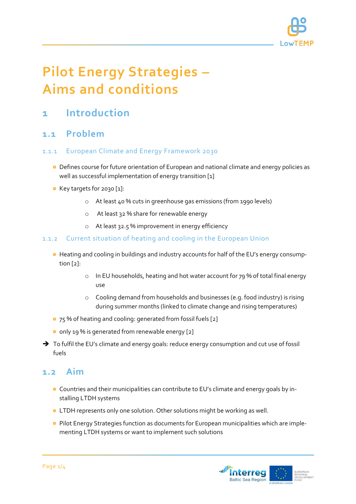

# **Pilot Energy Strategies – Aims and conditions**

# **1 Introduction**

## **1.1 Problem**

#### 1.1.1 European Climate and Energy Framework 2030

- Defines course for future orientation of European and national climate and energy policies as well as successful implementation of energy transition [1]
- Key targets for 2030 [1]:
	- o At least 40 % cuts in greenhouse gas emissions (from 1990 levels)
	- o At least 32 % share for renewable energy
	- o At least 32.5 % improvement in energy efficiency

#### 1.1.2 Current situation of heating and cooling in the European Union

- Heating and cooling in buildings and industry accounts for half of the EU's energy consumption [2]:
	- o In EU households, heating and hot water account for 79 % of total final energy use
	- o Cooling demand from households and businesses (e.g. food industry) is rising during summer months (linked to climate change and rising temperatures)
- <sup>o</sup> 75 % of heating and cooling: generated from fossil fuels [2]
- o only 19 % is generated from renewable energy [2]
- $\rightarrow$  To fulfil the EU's climate and energy goals: reduce energy consumption and cut use of fossil fuels

### **1.2 Aim**

- Countries and their municipalities can contribute to EU's climate and energy goals by installing LTDH systems
- LTDH represents only one solution. Other solutions might be working as well.
- **•** Pilot Energy Strategies function as documents for European municipalities which are implementing LTDH systems or want to implement such solutions

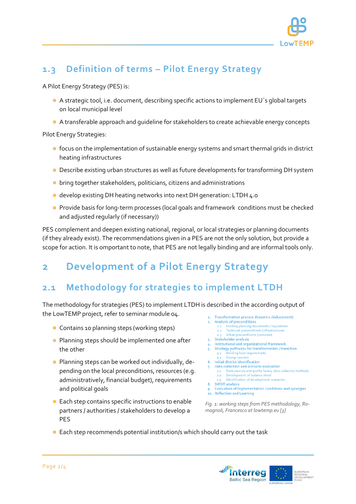

# **1.3 Definition of terms – Pilot Energy Strategy**

A Pilot Energy Strategy (PES) is:

- A strategic tool, i.e. document, describing specific actions to implement EU´s global targets on local municipal level
- A transferable approach and guideline for stakeholders to create achievable energy concepts

Pilot Energy Strategies:

- **o** focus on the implementation of sustainable energy systems and smart thermal grids in district heating infrastructures
- Describe existing urban structures as well as future developments for transforming DH system
- **o** bring together stakeholders, politicians, citizens and administrations
- o develop existing DH heating networks into next DH generation: LTDH 4.0
- Provide basis for long-term processes (local goals and framework conditions must be checked and adjusted regularly (if necessary))

PES complement and deepen existing national, regional, or local strategies or planning documents (if they already exist). The recommendations given in a PES are not the only solution, but provide a scope for action. It is omportant to note, that PES are not legally binding and are informal tools only.

# **2 Development of a Pilot Energy Strategy**

# **2.1 Methodology for strategies to implement LTDH**

The methodology for strategies (PES) to implement LTDH is described in the according output of the LowTEMP project, refer to seminar module 04.

- **•** Contains 10 planning steps (working steps)
- **•** Planning steps should be implemented one after the other
- **•** Planning steps can be worked out individually, depending on the local preconditions, resources (e.g. administratively, financial budget), requirements and political goals
- **•** Each step contains specific instructions to enable partners / authorities / stakeholders to develop a PES
- 1. Transformation process dynamics (inducement)
	- **Analysis of preconditions**
	- Existing planning documents / regulations 2.2 Technical preconditions (infrastructure)
	- Urban preconditions (com
- 3. Stakeholder analysis

 $2<sup>1</sup>$ 

- Institutional and organizational framework 5. Strategy pathways for transformation / transition
- **Building heat requ**  $5.1$ Energy
- 6. Initial district identification
- 7. Data collection and scenario evaluation
	- 7.1 Data sources and quality levels, data collection methods 7.2 Development of balance sheet Identification of development sce
- 8. SWOT analysis
	- Evaluation of implementation conditions and synergies
- 10. Reflection and Learning

*Fig. 1: working steps from PES methodology, Romagnoli, Francesco at lowtemp.eu [3]*

**•** Each step recommends potential institution/s which should carry out the task

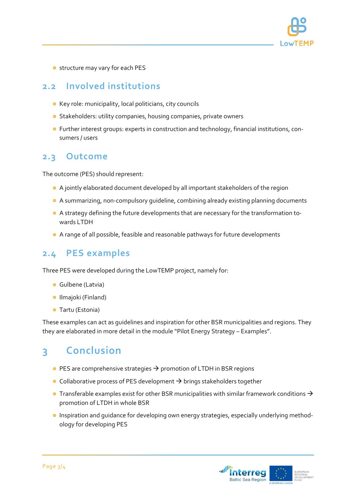

**o** structure may vary for each PES

## **2.2 Involved institutions**

- Key role: municipality, local politicians, city councils
- **o** Stakeholders: utility companies, housing companies, private owners
- Further interest groups: experts in construction and technology, financial institutions, consumers / users

### **2.3 Outcome**

The outcome (PES) should represent:

- A jointly elaborated document developed by all important stakeholders of the region
- A summarizing, non-compulsory guideline, combining already existing planning documents
- A strategy defining the future developments that are necessary for the transformation towards LTDH
- A range of all possible, feasible and reasonable pathways for future developments

# **2.4 PES examples**

Three PES were developed during the LowTEMP project, namely for:

- **o** Gulbene (Latvia)
- **•** Ilmajoki (Finland)
- **o** Tartu (Estonia)

These examples can act as guidelines and inspiration for other BSR municipalities and regions. They they are elaborated in more detail in the module "Pilot Energy Strategy – Examples".

# **3 Conclusion**

- $\bullet$  PES are comprehensive strategies  $\rightarrow$  promotion of LTDH in BSR regions
- $\bullet$  Collaborative process of PES development  $\rightarrow$  brings stakeholders together
- **•** Transferable examples exist for other BSR municipalities with similar framework conditions  $\rightarrow$ promotion of LTDH in whole BSR
- **o** Inspiration and guidance for developing own energy strategies, especially underlying methodology for developing PES